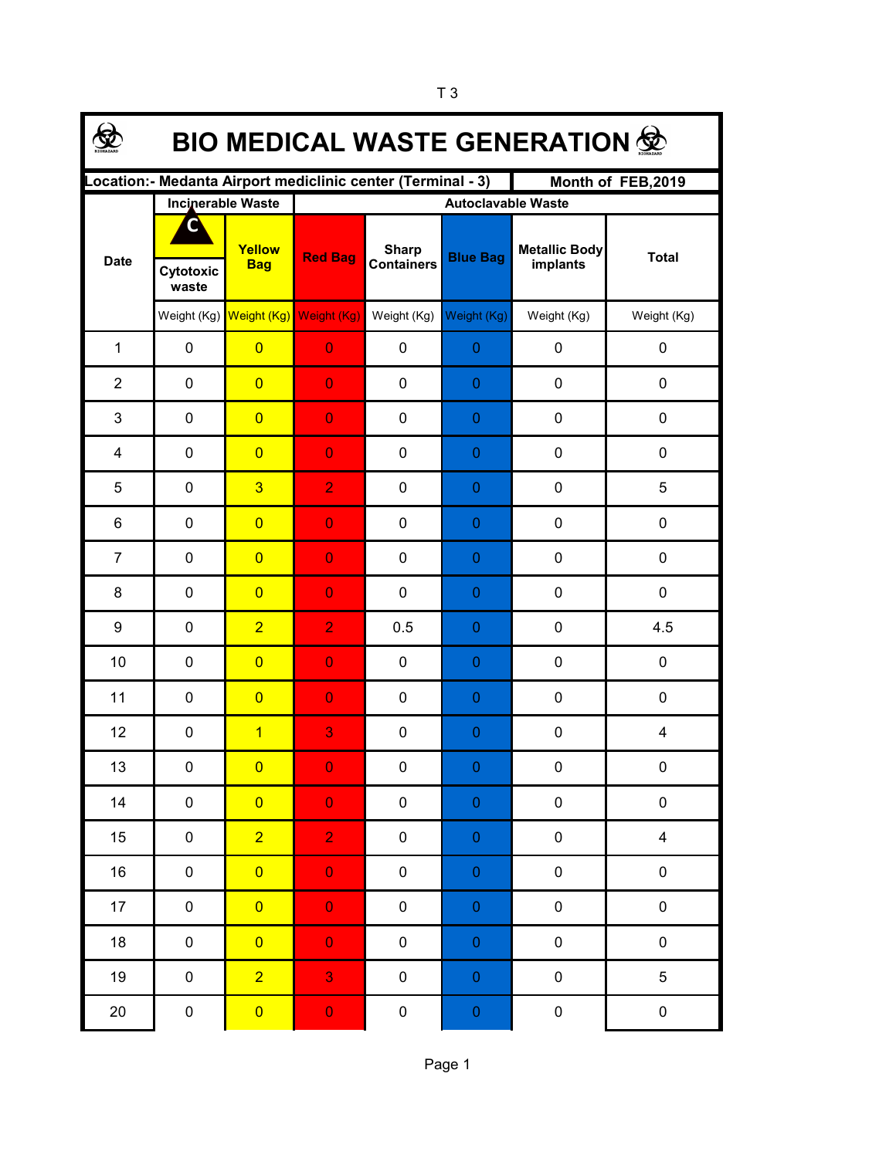| <b>BIO MEDICAL WASTE GENERATION 佥</b>                                            |             |                                     |                           |                                   |                  |                                  |              |  |  |  |  |
|----------------------------------------------------------------------------------|-------------|-------------------------------------|---------------------------|-----------------------------------|------------------|----------------------------------|--------------|--|--|--|--|
| Location:- Medanta Airport mediclinic center (Terminal - 3)<br>Month of FEB,2019 |             |                                     |                           |                                   |                  |                                  |              |  |  |  |  |
|                                                                                  |             | <b>Incinerable Waste</b>            | <b>Autoclavable Waste</b> |                                   |                  |                                  |              |  |  |  |  |
| <b>Date</b>                                                                      | Cytotoxic   | Yellow<br><b>Bag</b>                | <b>Red Bag</b>            | <b>Sharp</b><br><b>Containers</b> | <b>Blue Bag</b>  | <b>Metallic Body</b><br>implants | <b>Total</b> |  |  |  |  |
|                                                                                  | waste       |                                     |                           |                                   |                  |                                  |              |  |  |  |  |
|                                                                                  |             | Weight (Kg) Weight (Kg) Weight (Kg) |                           | Weight (Kg)                       | Weight (Kg)      | Weight (Kg)                      | Weight (Kg)  |  |  |  |  |
| $\mathbf{1}$                                                                     | 0           | $\overline{0}$                      | $\overline{0}$            | $\mathbf 0$                       | $\boldsymbol{0}$ | $\pmb{0}$                        | 0            |  |  |  |  |
| $\overline{2}$                                                                   | 0           | $\overline{0}$                      | $\overline{0}$            | $\mathbf 0$                       | $\boldsymbol{0}$ | $\pmb{0}$                        | 0            |  |  |  |  |
| 3                                                                                | 0           | $\overline{0}$                      | $\overline{0}$            | $\mathbf 0$                       | $\boldsymbol{0}$ | $\pmb{0}$                        | 0            |  |  |  |  |
| 4                                                                                | $\pmb{0}$   | $\overline{0}$                      | $\overline{0}$            | $\mathbf 0$                       | $\boldsymbol{0}$ | $\pmb{0}$                        | 0            |  |  |  |  |
| 5                                                                                | $\mathbf 0$ | $\overline{3}$                      | $\overline{2}$            | $\mathbf 0$                       | 0                | $\mathbf 0$                      | 5            |  |  |  |  |
| 6                                                                                | $\mathbf 0$ | $\overline{0}$                      | $\overline{0}$            | $\mathbf 0$                       | 0                | $\mathbf 0$                      | 0            |  |  |  |  |
| $\overline{7}$                                                                   | $\mathbf 0$ | $\overline{0}$                      | $\overline{0}$            | $\mathbf 0$                       | $\boldsymbol{0}$ | $\mathbf 0$                      | 0            |  |  |  |  |
| 8                                                                                | $\mathbf 0$ | $\overline{0}$                      | $\overline{0}$            | $\mathbf 0$                       | 0                | $\pmb{0}$                        | 0            |  |  |  |  |
| 9                                                                                | $\mathbf 0$ | $\overline{2}$                      | $\overline{2}$            | 0.5                               | $\boldsymbol{0}$ | $\pmb{0}$                        | 4.5          |  |  |  |  |
| 10                                                                               | $\mathbf 0$ | $\overline{0}$                      | $\overline{0}$            | $\mathbf 0$                       | $\boldsymbol{0}$ | $\pmb{0}$                        | 0            |  |  |  |  |
| 11                                                                               | $\mathbf 0$ | $\overline{0}$                      | $\overline{0}$            | $\mathbf 0$                       | $\boldsymbol{0}$ | $\mathbf 0$                      | 0            |  |  |  |  |
| 12                                                                               | $\pmb{0}$   | 1                                   | 3                         | $\mathbf 0$                       | 0                | $\pmb{0}$                        | 4            |  |  |  |  |
| 13                                                                               | 0           | $\overline{\mathbf{0}}$             | $\mathbf{0}$              | $\pmb{0}$                         | $\Omega$         | $\pmb{0}$                        | 0            |  |  |  |  |
| 14                                                                               | $\pmb{0}$   | $\overline{0}$                      | $\mathbf 0$               | $\pmb{0}$                         | $\pmb{0}$        | $\pmb{0}$                        | 0            |  |  |  |  |
| 15                                                                               | $\pmb{0}$   | $\overline{2}$                      | $\overline{2}$            | 0                                 | $\boldsymbol{0}$ | $\pmb{0}$                        | 4            |  |  |  |  |
| 16                                                                               | 0           | $\overline{0}$                      | $\mathbf 0$               | 0                                 | $\pmb{0}$        | $\pmb{0}$                        | $\pmb{0}$    |  |  |  |  |
| 17                                                                               | 0           | $\overline{0}$                      | $\mathbf 0$               | $\pmb{0}$                         | $\pmb{0}$        | $\pmb{0}$                        | $\pmb{0}$    |  |  |  |  |
| 18                                                                               | $\pmb{0}$   | $\overline{0}$                      | $\mathbf 0$               | 0                                 | $\pmb{0}$        | $\pmb{0}$                        | $\pmb{0}$    |  |  |  |  |
| 19                                                                               | $\pmb{0}$   | $\overline{2}$                      | 3                         | 0                                 | $\mathbf 0$      | $\pmb{0}$                        | 5            |  |  |  |  |
| $20\,$                                                                           | $\pmb{0}$   | $\overline{\mathbf{0}}$             | $\mathbf 0$               | $\pmb{0}$                         | $\boldsymbol{0}$ | $\pmb{0}$                        | $\pmb{0}$    |  |  |  |  |